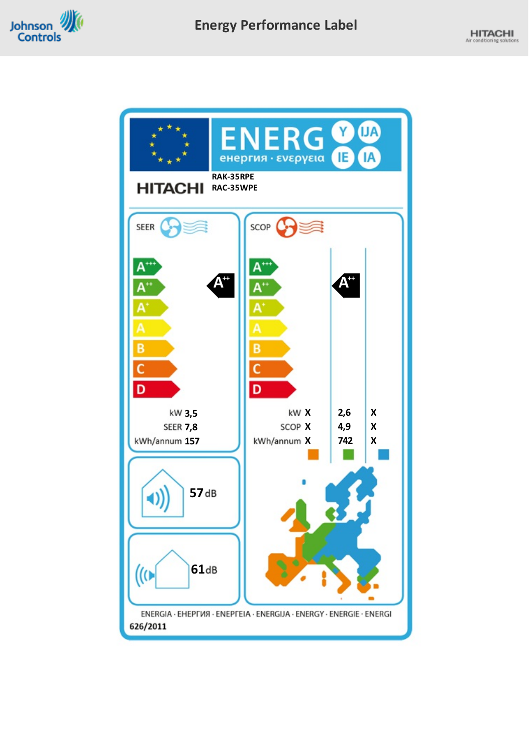